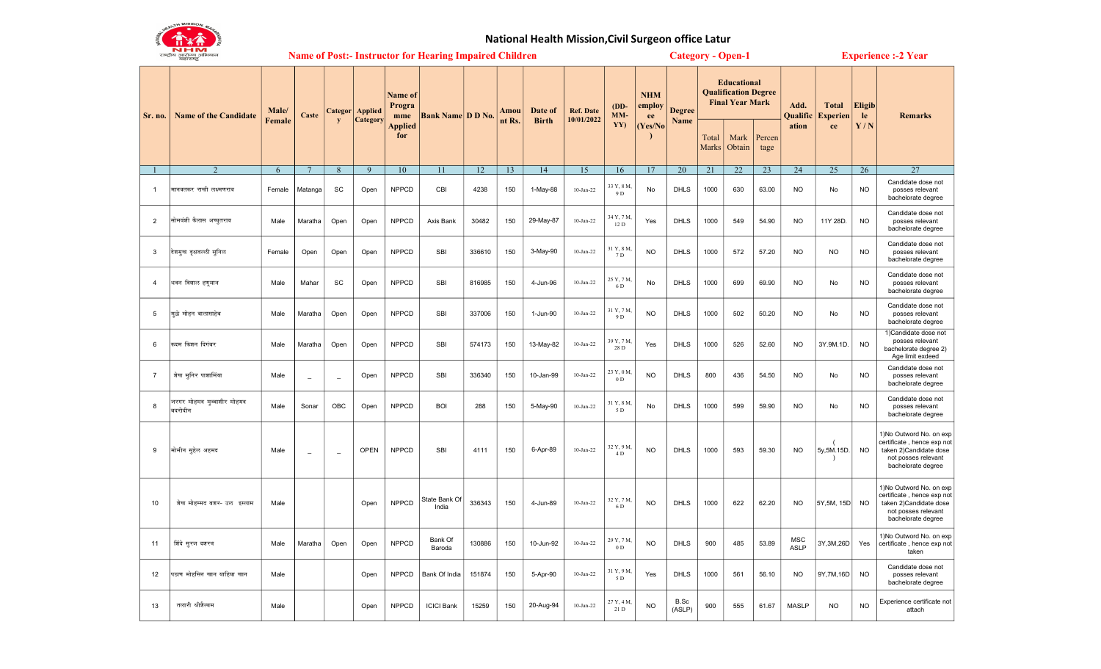

## National Health Mission,Civil Surgeon office Latur

|                | N HW<br>राष्ट्रीय आरोज्य अभियान<br>महाराष्ट्र | <b>Name of Post:- Instructor for Hearing Impaired Children</b> |                          |                          |                                      |                                            |                          |        |                |                         |                                |                             | <b>Category - Open-1</b>              |                       |                                                                             |                |                | <b>Experience :- 2 Year</b>      |                                       |                     |                                                                                                                               |
|----------------|-----------------------------------------------|----------------------------------------------------------------|--------------------------|--------------------------|--------------------------------------|--------------------------------------------|--------------------------|--------|----------------|-------------------------|--------------------------------|-----------------------------|---------------------------------------|-----------------------|-----------------------------------------------------------------------------|----------------|----------------|----------------------------------|---------------------------------------|---------------------|-------------------------------------------------------------------------------------------------------------------------------|
| Sr. no.        | <b>Name of the Candidate</b>                  | Male/<br>Female                                                | Caste                    | y                        | <b>Categor</b>   Applied<br>Category | <b>Name of</b><br>Progra<br>mme<br>Applied | <b>Bank Name D D No.</b> |        | Amou<br>nt Rs. | Date of<br><b>Birth</b> | <b>Ref. Date</b><br>10/01/2022 | $(DD-$<br>MM-<br>YY)        | <b>NHM</b><br>employ<br>ee<br>Yes/No) | <b>Degree</b><br>Name | <b>Educational</b><br><b>Qualification Degree</b><br><b>Final Year Mark</b> |                |                | Add.<br><b>Qualific</b><br>ation | <b>Total</b><br><b>Experien</b><br>ce | Eligib<br>le<br>Y/N | <b>Remarks</b>                                                                                                                |
|                |                                               |                                                                |                          |                          |                                      | for                                        |                          |        |                |                         |                                |                             |                                       |                       | Total<br>Marks                                                              | Mark<br>Obtain | Percen<br>tage |                                  |                                       |                     |                                                                                                                               |
|                |                                               | 6                                                              | $\overline{7}$           | 8                        | $\overline{9}$                       | 10                                         | 11                       | 12     | 13             | 14                      | 15                             | 16                          | 17                                    | 20                    | 21                                                                          | 22             | 23             | 24                               | 25                                    | 26                  | 27                                                                                                                            |
| $\mathbf{1}$   | मानवतकर राखी लक्ष्मणराव                       | Female                                                         | Matanga                  | SC                       | Open                                 | <b>NPPCD</b>                               | CBI                      | 4238   | 150            | 1-May-88                | $10$ -Jan-22                   | 33 Y, 8 M,<br>9 D           | No                                    | <b>DHLS</b>           | 1000                                                                        | 630            | 63.00          | <b>NO</b>                        | No                                    | <b>NO</b>           | Candidate dose not<br>posses relevant<br>bachelorate degree                                                                   |
| $\overline{2}$ | सोमवंशी कैलास अच्युतराव                       | Male                                                           | Maratha                  | Open                     | Open                                 | <b>NPPCD</b>                               | Axis Bank                | 30482  | 150            | 29-May-87               | $10$ -Jan-22                   | 34 Y, 7 M,<br>12 D          | Yes                                   | DHLS                  | 1000                                                                        | 549            | 54.90          | <b>NO</b>                        | 11Y 28D.                              | <b>NO</b>           | Candidate dose not<br>posses relevant<br>bachelorate degree                                                                   |
| 3              | देशमुख वृक्षवल्ली सुनिल                       | Female                                                         | Open                     | Open                     | Open                                 | <b>NPPCD</b>                               | SBI                      | 336610 | 150            | 3-May-90                | $10$ -Jan-22                   | 31 Y, 8 M,<br>7 D           | <b>NO</b>                             | <b>DHLS</b>           | 1000                                                                        | 572            | 57.20          | <b>NO</b>                        | <b>NO</b>                             | <b>NO</b>           | Candidate dose not<br>posses relevant<br>bachelorate degree                                                                   |
| $\overline{4}$ | धवन विशाल हणूमान                              | Male                                                           | Mahar                    | SC                       | Open                                 | <b>NPPCD</b>                               | SBI                      | 816985 | 150            | 4-Jun-96                | $10$ -Jan-22                   | 25 Y, 7 M,<br>6 D           | No                                    | <b>DHLS</b>           | 1000                                                                        | 699            | 69.90          | <b>NO</b>                        | No                                    | <b>NO</b>           | Candidate dose not<br>posses relevant<br>bachelorate degree                                                                   |
| 5              | मुळे मोहन बालासाहेब                           | Male                                                           | Maratha                  | Open                     | Open                                 | <b>NPPCD</b>                               | SBI                      | 337006 | 150            | 1-Jun-90                | $10$ -Jan-22                   | 31 Y, 7 M<br>9 D            | <b>NO</b>                             | <b>DHLS</b>           | 1000                                                                        | 502            | 50.20          | <b>NO</b>                        | No                                    | <b>NO</b>           | Candidate dose not<br>posses relevant<br>bachelorate degree                                                                   |
| 6              | कदम किशन दिगंबर                               | Male                                                           | Maratha                  | Open                     | Open                                 | <b>NPPCD</b>                               | SBI                      | 574173 | 150            | 13-May-82               | $10$ -Jan-22                   | 39 Y, 7 M,<br>$28\ {\rm D}$ | Yes                                   | DHLS                  | 1000                                                                        | 526            | 52.60          | <b>NO</b>                        | 3Y.9M.1D.                             | <b>NO</b>           | 1) Candidate dose not<br>posses relevant<br>bachelorate degree 2)<br>Age limit exdeed                                         |
| $\overline{7}$ | शेख मुनिर पाशामिंया                           | Male                                                           | $\overline{\phantom{a}}$ | $\equiv$                 | Open                                 | <b>NPPCD</b>                               | SBI                      | 336340 | 150            | 10-Jan-99               | $10$ -Jan-22                   | 23 Y, 0 M,<br>$0\ {\rm D}$  | <b>NO</b>                             | <b>DHLS</b>           | 800                                                                         | 436            | 54.50          | <b>NO</b>                        | No                                    | <b>NO</b>           | Candidate dose not<br>posses relevant<br>bachelorate degree                                                                   |
| 8              | जरगर मोहमद मुब्बाशीर मोहमद<br>बदरोदीन         | Male                                                           | Sonar                    | OBC                      | Open                                 | <b>NPPCD</b>                               | <b>BOI</b>               | 288    | 150            | 5-May-90                | $10$ -Jan-22                   | 31 Y, 8 M,<br>5 D           | No                                    | <b>DHLS</b>           | 1000                                                                        | 599            | 59.90          | <b>NO</b>                        | No                                    | <b>NO</b>           | Candidate dose not<br>posses relevant<br>bachelorate degree                                                                   |
| 9              | मोमीन सुहेल अहमद                              | Male                                                           | $\overline{\phantom{a}}$ | $\overline{\phantom{0}}$ | <b>OPEN</b>                          | <b>NPPCD</b>                               | SBI                      | 4111   | 150            | 6-Apr-89                | $10$ -Jan-22                   | 32 Y, 9 M,<br>4 D           | <b>NO</b>                             | <b>DHLS</b>           | 1000                                                                        | 593            | 59.30          | <b>NO</b>                        | 5y, 5M. 15D.<br>$\rightarrow$         | <b>NO</b>           | 1) No Outword No. on exp<br>certificate, hence exp not<br>taken 2)Candidate dose<br>not posses relevant<br>bachelorate degree |
| 10             | शेख मोहम्मद बशर- उल इस्लाम                    | Male                                                           |                          |                          | Open                                 | <b>NPPCD</b>                               | State Bank Of<br>India   | 336343 | 150            | 4-Jun-89                | $10$ -Jan-22                   | 32 Y, 7 M,<br>6 D           | <b>NO</b>                             | <b>DHLS</b>           | 1000                                                                        | 622            | 62.20          | <b>NO</b>                        | 5Y, 5M, 15D                           | <b>NO</b>           | 1) No Outword No. on exp<br>certificate, hence exp not<br>taken 2)Candidate dose<br>not posses relevant<br>bachelorate degree |
| 11             | शिंदे सूरज दशरथ                               | Male                                                           | Maratha                  | Open                     | Open                                 | <b>NPPCD</b>                               | Bank Of<br>Baroda        | 130886 | 150            | 10-Jun-92               | $10$ -Jan-22                   | 29 Y, 7 M,<br>$0\ {\rm D}$  | <b>NO</b>                             | <b>DHLS</b>           | 900                                                                         | 485            | 53.89          | MSC<br><b>ASLP</b>               | 3Y, 3M, 26D                           | Yes                 | 1)No Outword No. on exp<br>certificate, hence exp not<br>taken                                                                |
| 12             | पठाण मोहसिन खान याहिया खान                    | Male                                                           |                          |                          | Open                                 | <b>NPPCD</b>                               | Bank Of India            | 151874 | 150            | 5-Apr-90                | $10$ -Jan-22                   | 31 Y, 9 M,<br>5 D           | Yes                                   | <b>DHLS</b>           | 1000                                                                        | 561            | 56.10          | <b>NO</b>                        | 9Y,7M,16D                             | <b>NO</b>           | Candidate dose not<br>posses relevant<br>bachelorate degree                                                                   |
| 13             | तलारी श्रीशैल्यम                              | Male                                                           |                          |                          | Open                                 | <b>NPPCD</b>                               | <b>ICICI Bank</b>        | 15259  | 150            | 20-Aug-94               | $10$ -Jan-22                   | 27 Y, 4 M,<br>21 D          | <b>NO</b>                             | B.Sc<br>(ASLP)        | 900                                                                         | 555            | 61.67          | <b>MASLP</b>                     | <b>NO</b>                             | <b>NO</b>           | Experience certificate not<br>attach                                                                                          |